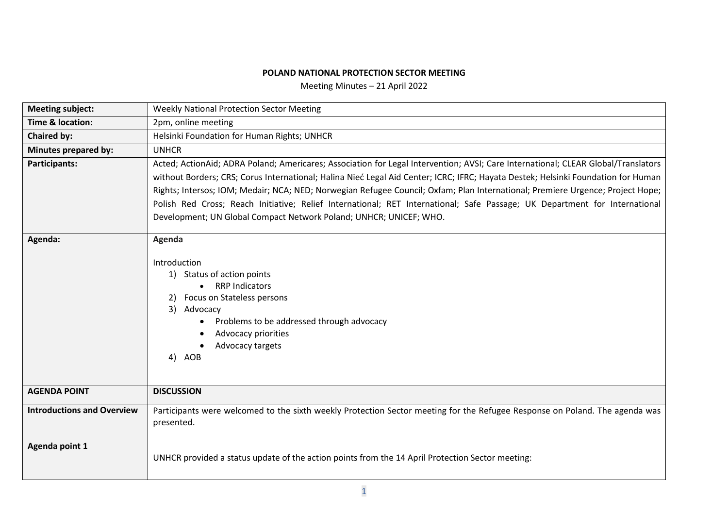## **POLAND NATIONAL PROTECTION SECTOR MEETING**

Meeting Minutes – 21 April 2022

| <b>Meeting subject:</b>           | <b>Weekly National Protection Sector Meeting</b>                                                                                                                                                                                                                                                                                                                                                                                                                                                                                                                                                             |  |  |
|-----------------------------------|--------------------------------------------------------------------------------------------------------------------------------------------------------------------------------------------------------------------------------------------------------------------------------------------------------------------------------------------------------------------------------------------------------------------------------------------------------------------------------------------------------------------------------------------------------------------------------------------------------------|--|--|
| <b>Time &amp; location:</b>       | 2pm, online meeting                                                                                                                                                                                                                                                                                                                                                                                                                                                                                                                                                                                          |  |  |
| <b>Chaired by:</b>                | Helsinki Foundation for Human Rights; UNHCR                                                                                                                                                                                                                                                                                                                                                                                                                                                                                                                                                                  |  |  |
| Minutes prepared by:              | <b>UNHCR</b>                                                                                                                                                                                                                                                                                                                                                                                                                                                                                                                                                                                                 |  |  |
| Participants:                     | Acted; ActionAid; ADRA Poland; Americares; Association for Legal Intervention; AVSI; Care International; CLEAR Global/Translators<br>without Borders; CRS; Corus International; Halina Nieć Legal Aid Center; ICRC; IFRC; Hayata Destek; Helsinki Foundation for Human<br>Rights; Intersos; IOM; Medair; NCA; NED; Norwegian Refugee Council; Oxfam; Plan International; Premiere Urgence; Project Hope;<br>Polish Red Cross; Reach Initiative; Relief International; RET International; Safe Passage; UK Department for International<br>Development; UN Global Compact Network Poland; UNHCR; UNICEF; WHO. |  |  |
| Agenda:                           | Agenda<br>Introduction<br>1) Status of action points<br><b>RRP Indicators</b><br>Focus on Stateless persons<br>2)<br>3) Advocacy<br>Problems to be addressed through advocacy<br>Advocacy priorities<br>Advocacy targets<br>4) AOB                                                                                                                                                                                                                                                                                                                                                                           |  |  |
| <b>AGENDA POINT</b>               | <b>DISCUSSION</b>                                                                                                                                                                                                                                                                                                                                                                                                                                                                                                                                                                                            |  |  |
| <b>Introductions and Overview</b> | Participants were welcomed to the sixth weekly Protection Sector meeting for the Refugee Response on Poland. The agenda was<br>presented.                                                                                                                                                                                                                                                                                                                                                                                                                                                                    |  |  |
| Agenda point 1                    | UNHCR provided a status update of the action points from the 14 April Protection Sector meeting:                                                                                                                                                                                                                                                                                                                                                                                                                                                                                                             |  |  |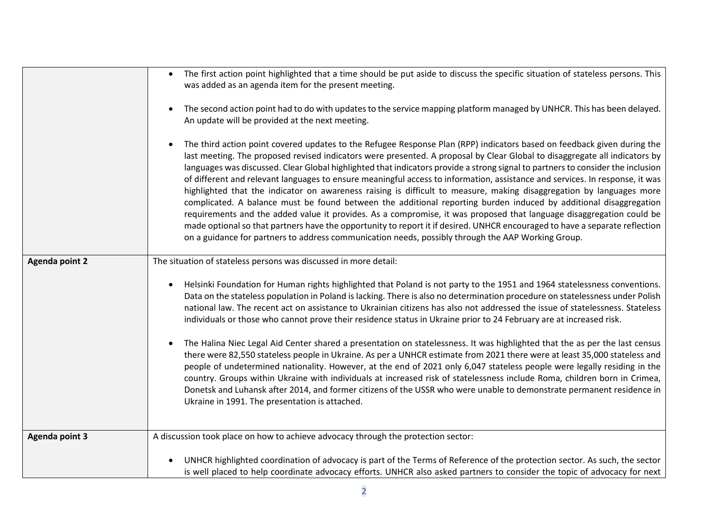|                       | The first action point highlighted that a time should be put aside to discuss the specific situation of stateless persons. This<br>$\bullet$<br>was added as an agenda item for the present meeting.<br>The second action point had to do with updates to the service mapping platform managed by UNHCR. This has been delayed.                                                                                                                                                                                                                                                                                                                                                                                                                                                                                                                                                                                                                                                                                                                                                                                                    |  |  |  |  |
|-----------------------|------------------------------------------------------------------------------------------------------------------------------------------------------------------------------------------------------------------------------------------------------------------------------------------------------------------------------------------------------------------------------------------------------------------------------------------------------------------------------------------------------------------------------------------------------------------------------------------------------------------------------------------------------------------------------------------------------------------------------------------------------------------------------------------------------------------------------------------------------------------------------------------------------------------------------------------------------------------------------------------------------------------------------------------------------------------------------------------------------------------------------------|--|--|--|--|
|                       | An update will be provided at the next meeting.                                                                                                                                                                                                                                                                                                                                                                                                                                                                                                                                                                                                                                                                                                                                                                                                                                                                                                                                                                                                                                                                                    |  |  |  |  |
|                       | The third action point covered updates to the Refugee Response Plan (RPP) indicators based on feedback given during the<br>last meeting. The proposed revised indicators were presented. A proposal by Clear Global to disaggregate all indicators by<br>languages was discussed. Clear Global highlighted that indicators provide a strong signal to partners to consider the inclusion<br>of different and relevant languages to ensure meaningful access to information, assistance and services. In response, it was<br>highlighted that the indicator on awareness raising is difficult to measure, making disaggregation by languages more<br>complicated. A balance must be found between the additional reporting burden induced by additional disaggregation<br>requirements and the added value it provides. As a compromise, it was proposed that language disaggregation could be<br>made optional so that partners have the opportunity to report it if desired. UNHCR encouraged to have a separate reflection<br>on a guidance for partners to address communication needs, possibly through the AAP Working Group. |  |  |  |  |
| <b>Agenda point 2</b> | The situation of stateless persons was discussed in more detail:                                                                                                                                                                                                                                                                                                                                                                                                                                                                                                                                                                                                                                                                                                                                                                                                                                                                                                                                                                                                                                                                   |  |  |  |  |
|                       | Helsinki Foundation for Human rights highlighted that Poland is not party to the 1951 and 1964 statelessness conventions.<br>$\bullet$<br>Data on the stateless population in Poland is lacking. There is also no determination procedure on statelessness under Polish<br>national law. The recent act on assistance to Ukrainian citizens has also not addressed the issue of statelessness. Stateless<br>individuals or those who cannot prove their residence status in Ukraine prior to 24 February are at increased risk.                                                                                                                                                                                                                                                                                                                                                                                                                                                                                                                                                                                                    |  |  |  |  |
|                       | The Halina Niec Legal Aid Center shared a presentation on statelessness. It was highlighted that the as per the last census<br>there were 82,550 stateless people in Ukraine. As per a UNHCR estimate from 2021 there were at least 35,000 stateless and<br>people of undetermined nationality. However, at the end of 2021 only 6,047 stateless people were legally residing in the<br>country. Groups within Ukraine with individuals at increased risk of statelessness include Roma, children born in Crimea,<br>Donetsk and Luhansk after 2014, and former citizens of the USSR who were unable to demonstrate permanent residence in<br>Ukraine in 1991. The presentation is attached.                                                                                                                                                                                                                                                                                                                                                                                                                                       |  |  |  |  |
| <b>Agenda point 3</b> | A discussion took place on how to achieve advocacy through the protection sector:                                                                                                                                                                                                                                                                                                                                                                                                                                                                                                                                                                                                                                                                                                                                                                                                                                                                                                                                                                                                                                                  |  |  |  |  |
|                       | UNHCR highlighted coordination of advocacy is part of the Terms of Reference of the protection sector. As such, the sector<br>is well placed to help coordinate advocacy efforts. UNHCR also asked partners to consider the topic of advocacy for next                                                                                                                                                                                                                                                                                                                                                                                                                                                                                                                                                                                                                                                                                                                                                                                                                                                                             |  |  |  |  |